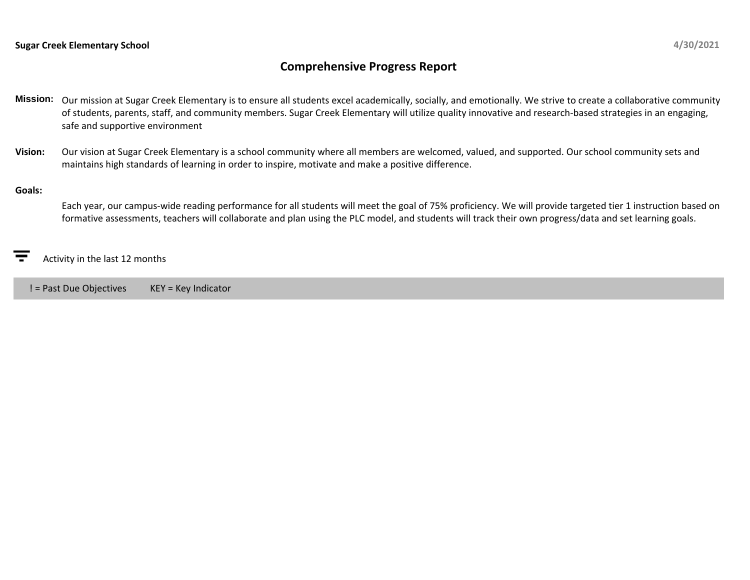## **Comprehensive Progress Report**

- **Mission:** Our mission at Sugar Creek Elementary is to ensure all students excel academically, socially, and emotionally. We strive to create a collaborative community of students, parents, staff, and community members. Sugar Creek Elementary will utilize quality innovative and research-based strategies in an engaging, safe and supportive environment
- **Vision:** Our vision at Sugar Creek Elementary is a school community where all members are welcomed, valued, and supported. Our school community sets and maintains high standards of learning in order to inspire, motivate and make a positive difference.

## **Goals:**

Each year, our campus-wide reading performance for all students will meet the goal of 75% proficiency. We will provide targeted tier 1 instruction based on formative assessments, teachers will collaborate and plan using the PLC model, and students will track their own progress/data and set learning goals.

Activity in the last 12 months

! = Past Due Objectives KEY = Key Indicator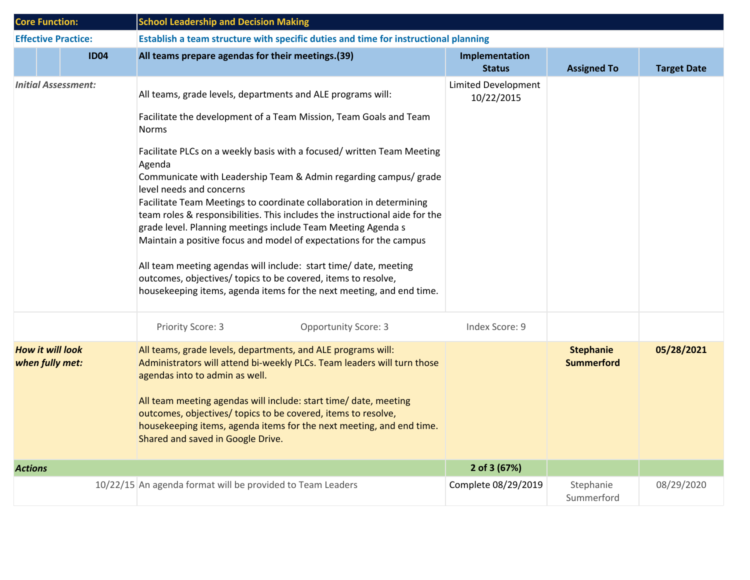| <b>Core Function:</b>      |                                            | <b>School Leadership and Decision Making</b>                                                                                                                                                                                                                                                                                                                                                                                                                                                                                                                                                                                                                                                                                                                                                                                                  |                                          |                                       |                    |  |  |
|----------------------------|--------------------------------------------|-----------------------------------------------------------------------------------------------------------------------------------------------------------------------------------------------------------------------------------------------------------------------------------------------------------------------------------------------------------------------------------------------------------------------------------------------------------------------------------------------------------------------------------------------------------------------------------------------------------------------------------------------------------------------------------------------------------------------------------------------------------------------------------------------------------------------------------------------|------------------------------------------|---------------------------------------|--------------------|--|--|
| <b>Effective Practice:</b> |                                            | Establish a team structure with specific duties and time for instructional planning                                                                                                                                                                                                                                                                                                                                                                                                                                                                                                                                                                                                                                                                                                                                                           |                                          |                                       |                    |  |  |
|                            | <b>ID04</b>                                | All teams prepare agendas for their meetings.(39)                                                                                                                                                                                                                                                                                                                                                                                                                                                                                                                                                                                                                                                                                                                                                                                             | Implementation<br><b>Status</b>          | <b>Assigned To</b>                    | <b>Target Date</b> |  |  |
|                            | Initial Assessment:                        | All teams, grade levels, departments and ALE programs will:<br>Facilitate the development of a Team Mission, Team Goals and Team<br><b>Norms</b><br>Facilitate PLCs on a weekly basis with a focused/ written Team Meeting<br>Agenda<br>Communicate with Leadership Team & Admin regarding campus/ grade<br>level needs and concerns<br>Facilitate Team Meetings to coordinate collaboration in determining<br>team roles & responsibilities. This includes the instructional aide for the<br>grade level. Planning meetings include Team Meeting Agenda s<br>Maintain a positive focus and model of expectations for the campus<br>All team meeting agendas will include: start time/ date, meeting<br>outcomes, objectives/ topics to be covered, items to resolve,<br>housekeeping items, agenda items for the next meeting, and end time. | <b>Limited Development</b><br>10/22/2015 |                                       |                    |  |  |
|                            |                                            | Priority Score: 3<br><b>Opportunity Score: 3</b>                                                                                                                                                                                                                                                                                                                                                                                                                                                                                                                                                                                                                                                                                                                                                                                              | Index Score: 9                           |                                       |                    |  |  |
|                            | <b>How it will look</b><br>when fully met: | All teams, grade levels, departments, and ALE programs will:<br>Administrators will attend bi-weekly PLCs. Team leaders will turn those<br>agendas into to admin as well.<br>All team meeting agendas will include: start time/ date, meeting<br>outcomes, objectives/ topics to be covered, items to resolve,<br>housekeeping items, agenda items for the next meeting, and end time.<br>Shared and saved in Google Drive.                                                                                                                                                                                                                                                                                                                                                                                                                   |                                          | <b>Stephanie</b><br><b>Summerford</b> | 05/28/2021         |  |  |
| <b>Actions</b>             |                                            |                                                                                                                                                                                                                                                                                                                                                                                                                                                                                                                                                                                                                                                                                                                                                                                                                                               | 2 of 3 (67%)                             |                                       |                    |  |  |
|                            |                                            | 10/22/15 An agenda format will be provided to Team Leaders                                                                                                                                                                                                                                                                                                                                                                                                                                                                                                                                                                                                                                                                                                                                                                                    | Complete 08/29/2019                      | Stephanie<br>Summerford               | 08/29/2020         |  |  |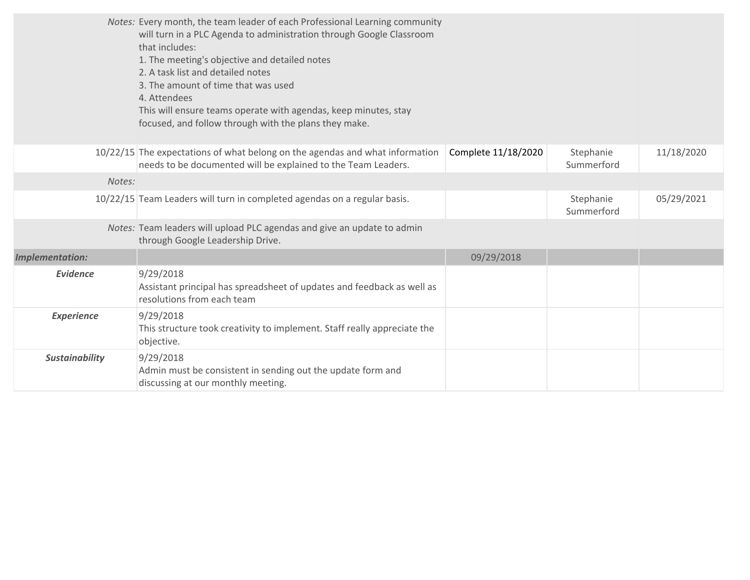|                        | Notes: Every month, the team leader of each Professional Learning community<br>will turn in a PLC Agenda to administration through Google Classroom<br>that includes:<br>1. The meeting's objective and detailed notes<br>2. A task list and detailed notes<br>3. The amount of time that was used<br>4. Attendees<br>This will ensure teams operate with agendas, keep minutes, stay<br>focused, and follow through with the plans they make. |                     |                         |            |
|------------------------|------------------------------------------------------------------------------------------------------------------------------------------------------------------------------------------------------------------------------------------------------------------------------------------------------------------------------------------------------------------------------------------------------------------------------------------------|---------------------|-------------------------|------------|
|                        | 10/22/15 The expectations of what belong on the agendas and what information<br>needs to be documented will be explained to the Team Leaders.                                                                                                                                                                                                                                                                                                  | Complete 11/18/2020 | Stephanie<br>Summerford | 11/18/2020 |
| Notes:                 |                                                                                                                                                                                                                                                                                                                                                                                                                                                |                     |                         |            |
|                        | 10/22/15 Team Leaders will turn in completed agendas on a regular basis.                                                                                                                                                                                                                                                                                                                                                                       |                     | Stephanie<br>Summerford | 05/29/2021 |
|                        | Notes: Team leaders will upload PLC agendas and give an update to admin<br>through Google Leadership Drive.                                                                                                                                                                                                                                                                                                                                    |                     |                         |            |
| <b>Implementation:</b> |                                                                                                                                                                                                                                                                                                                                                                                                                                                | 09/29/2018          |                         |            |
| <b>Evidence</b>        | 9/29/2018<br>Assistant principal has spreadsheet of updates and feedback as well as<br>resolutions from each team                                                                                                                                                                                                                                                                                                                              |                     |                         |            |
| <b>Experience</b>      | 9/29/2018<br>This structure took creativity to implement. Staff really appreciate the<br>objective.                                                                                                                                                                                                                                                                                                                                            |                     |                         |            |
| <b>Sustainability</b>  | 9/29/2018<br>Admin must be consistent in sending out the update form and<br>discussing at our monthly meeting.                                                                                                                                                                                                                                                                                                                                 |                     |                         |            |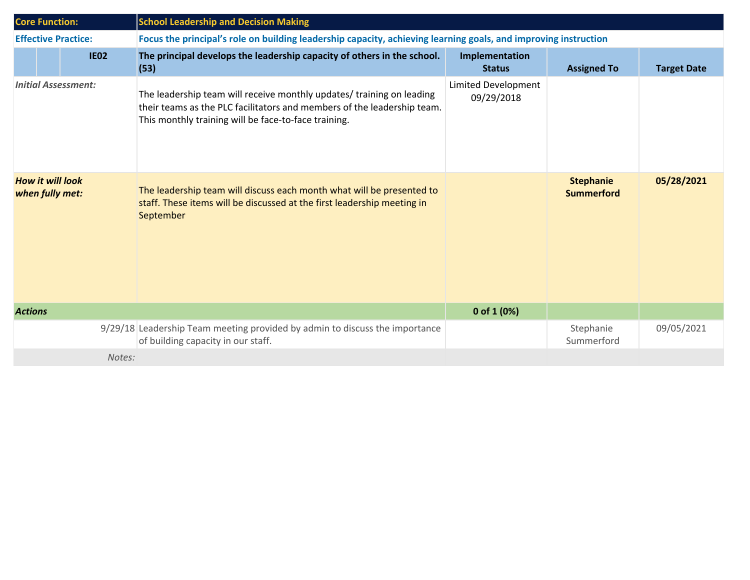| <b>Core Function:</b>                      |  |             | <b>School Leadership and Decision Making</b>                                                                                                                                                             |                                   |                                       |                    |  |
|--------------------------------------------|--|-------------|----------------------------------------------------------------------------------------------------------------------------------------------------------------------------------------------------------|-----------------------------------|---------------------------------------|--------------------|--|
| <b>Effective Practice:</b>                 |  |             | Focus the principal's role on building leadership capacity, achieving learning goals, and improving instruction                                                                                          |                                   |                                       |                    |  |
|                                            |  | <b>IE02</b> | The principal develops the leadership capacity of others in the school.<br>(53)                                                                                                                          | Implementation<br><b>Status</b>   | <b>Assigned To</b>                    | <b>Target Date</b> |  |
| <b>Initial Assessment:</b>                 |  |             | The leadership team will receive monthly updates/ training on leading<br>their teams as the PLC facilitators and members of the leadership team.<br>This monthly training will be face-to-face training. | Limited Development<br>09/29/2018 |                                       |                    |  |
| <b>How it will look</b><br>when fully met: |  |             | The leadership team will discuss each month what will be presented to<br>staff. These items will be discussed at the first leadership meeting in<br>September                                            |                                   | <b>Stephanie</b><br><b>Summerford</b> | 05/28/2021         |  |
| <b>Actions</b>                             |  |             |                                                                                                                                                                                                          | 0 of 1 $(0%)$                     |                                       |                    |  |
|                                            |  |             | 9/29/18 Leadership Team meeting provided by admin to discuss the importance<br>of building capacity in our staff.                                                                                        |                                   | Stephanie<br>Summerford               | 09/05/2021         |  |
|                                            |  | Notes:      |                                                                                                                                                                                                          |                                   |                                       |                    |  |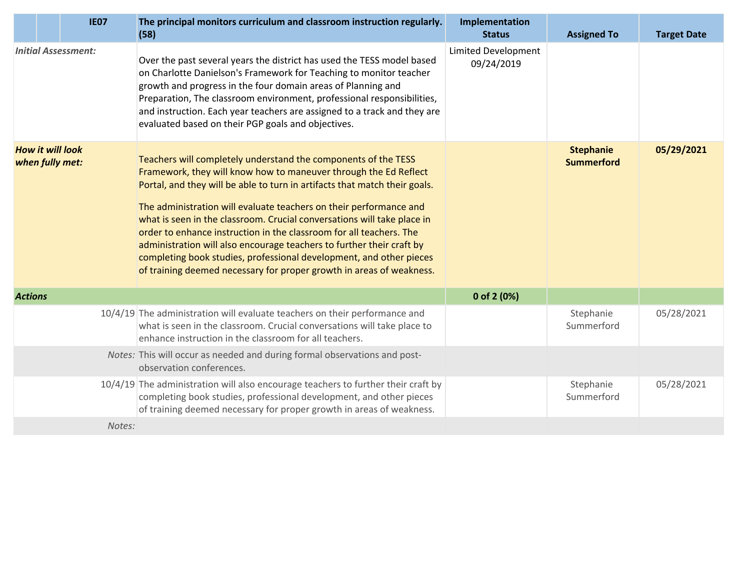|                | <b>IE07</b>                                | The principal monitors curriculum and classroom instruction regularly.<br>(58)                                                                                                                                                                                                                                                                                                                                                                                                                                                                                                                                                                                   | Implementation<br><b>Status</b>          | <b>Assigned To</b>                    | <b>Target Date</b> |
|----------------|--------------------------------------------|------------------------------------------------------------------------------------------------------------------------------------------------------------------------------------------------------------------------------------------------------------------------------------------------------------------------------------------------------------------------------------------------------------------------------------------------------------------------------------------------------------------------------------------------------------------------------------------------------------------------------------------------------------------|------------------------------------------|---------------------------------------|--------------------|
|                | <b>Initial Assessment:</b>                 | Over the past several years the district has used the TESS model based<br>on Charlotte Danielson's Framework for Teaching to monitor teacher<br>growth and progress in the four domain areas of Planning and<br>Preparation, The classroom environment, professional responsibilities,<br>and instruction. Each year teachers are assigned to a track and they are<br>evaluated based on their PGP goals and objectives.                                                                                                                                                                                                                                         | <b>Limited Development</b><br>09/24/2019 |                                       |                    |
|                | <b>How it will look</b><br>when fully met: | Teachers will completely understand the components of the TESS<br>Framework, they will know how to maneuver through the Ed Reflect<br>Portal, and they will be able to turn in artifacts that match their goals.<br>The administration will evaluate teachers on their performance and<br>what is seen in the classroom. Crucial conversations will take place in<br>order to enhance instruction in the classroom for all teachers. The<br>administration will also encourage teachers to further their craft by<br>completing book studies, professional development, and other pieces<br>of training deemed necessary for proper growth in areas of weakness. |                                          | <b>Stephanie</b><br><b>Summerford</b> | 05/29/2021         |
| <b>Actions</b> |                                            |                                                                                                                                                                                                                                                                                                                                                                                                                                                                                                                                                                                                                                                                  | 0 of 2 $(0%)$                            |                                       |                    |
|                |                                            | 10/4/19 The administration will evaluate teachers on their performance and<br>what is seen in the classroom. Crucial conversations will take place to<br>enhance instruction in the classroom for all teachers.                                                                                                                                                                                                                                                                                                                                                                                                                                                  |                                          | Stephanie<br>Summerford               | 05/28/2021         |
|                |                                            | Notes: This will occur as needed and during formal observations and post-<br>observation conferences.                                                                                                                                                                                                                                                                                                                                                                                                                                                                                                                                                            |                                          |                                       |                    |
|                |                                            | 10/4/19 The administration will also encourage teachers to further their craft by<br>completing book studies, professional development, and other pieces<br>of training deemed necessary for proper growth in areas of weakness.                                                                                                                                                                                                                                                                                                                                                                                                                                 |                                          | Stephanie<br>Summerford               | 05/28/2021         |
|                | Notes:                                     |                                                                                                                                                                                                                                                                                                                                                                                                                                                                                                                                                                                                                                                                  |                                          |                                       |                    |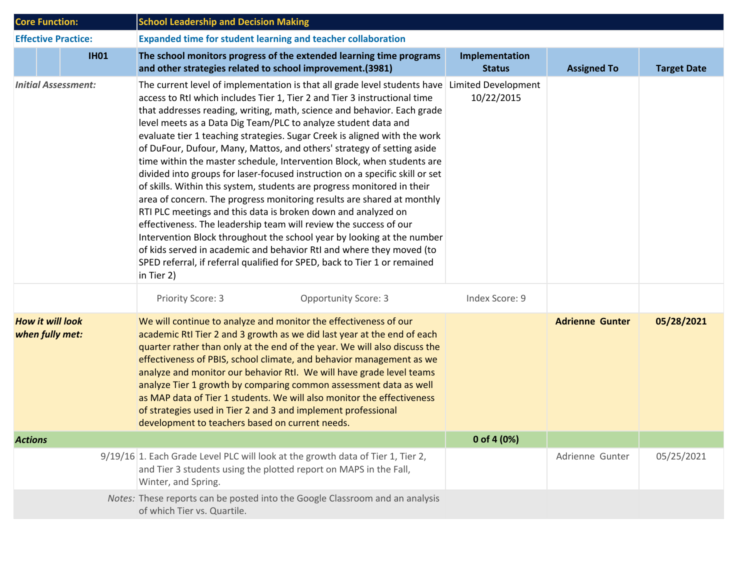| <b>Core Function:</b>                      | <b>School Leadership and Decision Making</b>                                                                                                                                                                                                                                                                                                                                                                                                                                                                                                                                                                                                                                                                                                                                                                                                                                                                                                                                                                                                                                                                                                                                     |                                 |                        |                    |  |  |
|--------------------------------------------|----------------------------------------------------------------------------------------------------------------------------------------------------------------------------------------------------------------------------------------------------------------------------------------------------------------------------------------------------------------------------------------------------------------------------------------------------------------------------------------------------------------------------------------------------------------------------------------------------------------------------------------------------------------------------------------------------------------------------------------------------------------------------------------------------------------------------------------------------------------------------------------------------------------------------------------------------------------------------------------------------------------------------------------------------------------------------------------------------------------------------------------------------------------------------------|---------------------------------|------------------------|--------------------|--|--|
| <b>Effective Practice:</b>                 | <b>Expanded time for student learning and teacher collaboration</b>                                                                                                                                                                                                                                                                                                                                                                                                                                                                                                                                                                                                                                                                                                                                                                                                                                                                                                                                                                                                                                                                                                              |                                 |                        |                    |  |  |
| <b>IH01</b>                                | The school monitors progress of the extended learning time programs<br>and other strategies related to school improvement.(3981)                                                                                                                                                                                                                                                                                                                                                                                                                                                                                                                                                                                                                                                                                                                                                                                                                                                                                                                                                                                                                                                 | Implementation<br><b>Status</b> | <b>Assigned To</b>     | <b>Target Date</b> |  |  |
| <b>Initial Assessment:</b>                 | The current level of implementation is that all grade level students have Limited Development<br>access to RtI which includes Tier 1, Tier 2 and Tier 3 instructional time<br>that addresses reading, writing, math, science and behavior. Each grade<br>level meets as a Data Dig Team/PLC to analyze student data and<br>evaluate tier 1 teaching strategies. Sugar Creek is aligned with the work<br>of DuFour, Dufour, Many, Mattos, and others' strategy of setting aside<br>time within the master schedule, Intervention Block, when students are<br>divided into groups for laser-focused instruction on a specific skill or set<br>of skills. Within this system, students are progress monitored in their<br>area of concern. The progress monitoring results are shared at monthly<br>RTI PLC meetings and this data is broken down and analyzed on<br>effectiveness. The leadership team will review the success of our<br>Intervention Block throughout the school year by looking at the number<br>of kids served in academic and behavior RtI and where they moved (to<br>SPED referral, if referral qualified for SPED, back to Tier 1 or remained<br>in Tier 2) | 10/22/2015                      |                        |                    |  |  |
|                                            | Priority Score: 3<br><b>Opportunity Score: 3</b>                                                                                                                                                                                                                                                                                                                                                                                                                                                                                                                                                                                                                                                                                                                                                                                                                                                                                                                                                                                                                                                                                                                                 | Index Score: 9                  |                        |                    |  |  |
| <b>How it will look</b><br>when fully met: | We will continue to analyze and monitor the effectiveness of our<br>academic RtI Tier 2 and 3 growth as we did last year at the end of each<br>quarter rather than only at the end of the year. We will also discuss the<br>effectiveness of PBIS, school climate, and behavior management as we<br>analyze and monitor our behavior RtI. We will have grade level teams<br>analyze Tier 1 growth by comparing common assessment data as well<br>as MAP data of Tier 1 students. We will also monitor the effectiveness<br>of strategies used in Tier 2 and 3 and implement professional<br>development to teachers based on current needs.                                                                                                                                                                                                                                                                                                                                                                                                                                                                                                                                      |                                 | <b>Adrienne Gunter</b> | 05/28/2021         |  |  |
| <b>Actions</b>                             |                                                                                                                                                                                                                                                                                                                                                                                                                                                                                                                                                                                                                                                                                                                                                                                                                                                                                                                                                                                                                                                                                                                                                                                  | 0 of 4 $(0%)$                   |                        |                    |  |  |
|                                            | 9/19/16 1. Each Grade Level PLC will look at the growth data of Tier 1, Tier 2,<br>and Tier 3 students using the plotted report on MAPS in the Fall,<br>Winter, and Spring.                                                                                                                                                                                                                                                                                                                                                                                                                                                                                                                                                                                                                                                                                                                                                                                                                                                                                                                                                                                                      |                                 | Adrienne Gunter        | 05/25/2021         |  |  |
|                                            | Notes: These reports can be posted into the Google Classroom and an analysis<br>of which Tier vs. Quartile.                                                                                                                                                                                                                                                                                                                                                                                                                                                                                                                                                                                                                                                                                                                                                                                                                                                                                                                                                                                                                                                                      |                                 |                        |                    |  |  |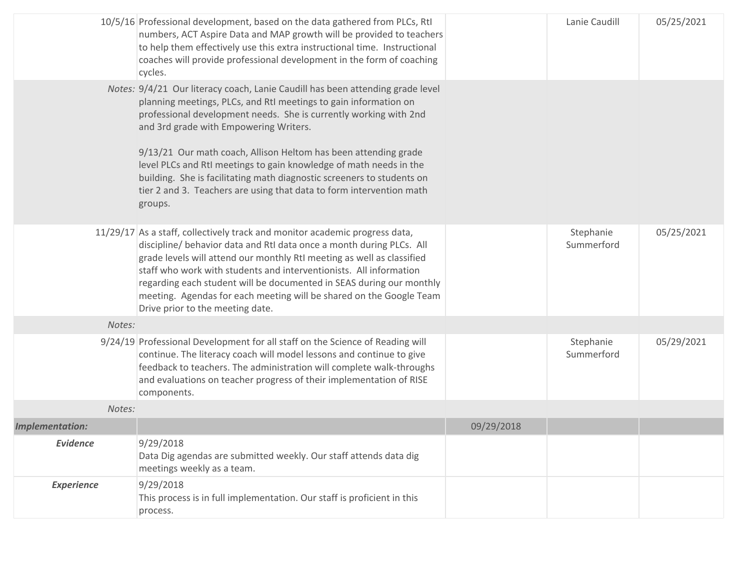|                        | 10/5/16 Professional development, based on the data gathered from PLCs, RtI<br>numbers, ACT Aspire Data and MAP growth will be provided to teachers<br>to help them effectively use this extra instructional time. Instructional<br>coaches will provide professional development in the form of coaching<br>cycles.                                                                                                                                                                                                                                                    |            | Lanie Caudill           | 05/25/2021 |
|------------------------|-------------------------------------------------------------------------------------------------------------------------------------------------------------------------------------------------------------------------------------------------------------------------------------------------------------------------------------------------------------------------------------------------------------------------------------------------------------------------------------------------------------------------------------------------------------------------|------------|-------------------------|------------|
|                        | Notes: 9/4/21 Our literacy coach, Lanie Caudill has been attending grade level<br>planning meetings, PLCs, and RtI meetings to gain information on<br>professional development needs. She is currently working with 2nd<br>and 3rd grade with Empowering Writers.<br>9/13/21 Our math coach, Allison Heltom has been attending grade<br>level PLCs and RtI meetings to gain knowledge of math needs in the<br>building. She is facilitating math diagnostic screeners to students on<br>tier 2 and 3. Teachers are using that data to form intervention math<br>groups. |            |                         |            |
|                        | 11/29/17 As a staff, collectively track and monitor academic progress data,<br>discipline/ behavior data and RtI data once a month during PLCs. All<br>grade levels will attend our monthly RtI meeting as well as classified<br>staff who work with students and interventionists. All information<br>regarding each student will be documented in SEAS during our monthly<br>meeting. Agendas for each meeting will be shared on the Google Team<br>Drive prior to the meeting date.                                                                                  |            | Stephanie<br>Summerford | 05/25/2021 |
| Notes:                 |                                                                                                                                                                                                                                                                                                                                                                                                                                                                                                                                                                         |            |                         |            |
|                        | 9/24/19 Professional Development for all staff on the Science of Reading will<br>continue. The literacy coach will model lessons and continue to give<br>feedback to teachers. The administration will complete walk-throughs<br>and evaluations on teacher progress of their implementation of RISE<br>components.                                                                                                                                                                                                                                                     |            | Stephanie<br>Summerford | 05/29/2021 |
| Notes:                 |                                                                                                                                                                                                                                                                                                                                                                                                                                                                                                                                                                         |            |                         |            |
| <b>Implementation:</b> |                                                                                                                                                                                                                                                                                                                                                                                                                                                                                                                                                                         | 09/29/2018 |                         |            |
| <b>Evidence</b>        | 9/29/2018<br>Data Dig agendas are submitted weekly. Our staff attends data dig<br>meetings weekly as a team.                                                                                                                                                                                                                                                                                                                                                                                                                                                            |            |                         |            |
| <b>Experience</b>      | 9/29/2018<br>This process is in full implementation. Our staff is proficient in this<br>process.                                                                                                                                                                                                                                                                                                                                                                                                                                                                        |            |                         |            |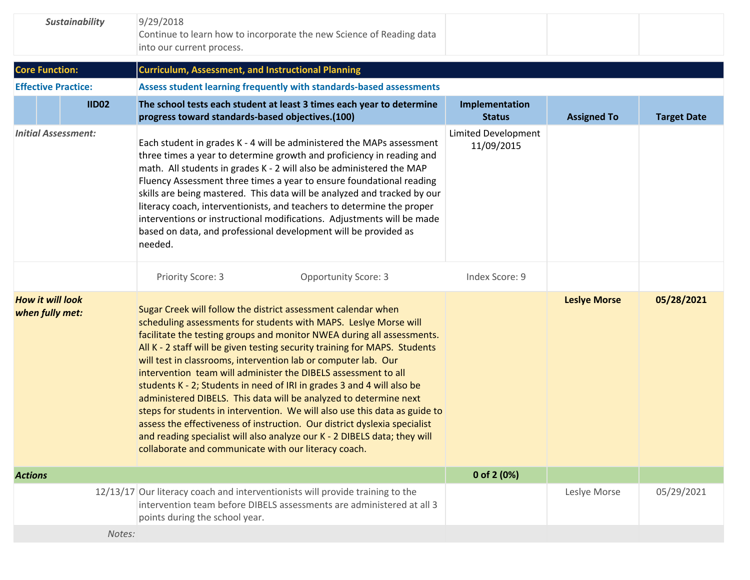| <b>Sustainability</b>                      |              | 9/29/2018<br>Continue to learn how to incorporate the new Science of Reading data<br>into our current process.                                                                                                                                                                                                                                                                                                                                                                                                                                                                                                                                                                                                                                                                                                                                                               |                                                     |                     |                    |
|--------------------------------------------|--------------|------------------------------------------------------------------------------------------------------------------------------------------------------------------------------------------------------------------------------------------------------------------------------------------------------------------------------------------------------------------------------------------------------------------------------------------------------------------------------------------------------------------------------------------------------------------------------------------------------------------------------------------------------------------------------------------------------------------------------------------------------------------------------------------------------------------------------------------------------------------------------|-----------------------------------------------------|---------------------|--------------------|
| <b>Core Function:</b>                      |              | <b>Curriculum, Assessment, and Instructional Planning</b>                                                                                                                                                                                                                                                                                                                                                                                                                                                                                                                                                                                                                                                                                                                                                                                                                    |                                                     |                     |                    |
| <b>Effective Practice:</b>                 |              | Assess student learning frequently with standards-based assessments                                                                                                                                                                                                                                                                                                                                                                                                                                                                                                                                                                                                                                                                                                                                                                                                          |                                                     |                     |                    |
|                                            | <b>IID02</b> | The school tests each student at least 3 times each year to determine<br>progress toward standards-based objectives.(100)                                                                                                                                                                                                                                                                                                                                                                                                                                                                                                                                                                                                                                                                                                                                                    | Implementation<br><b>Status</b>                     | <b>Assigned To</b>  | <b>Target Date</b> |
| <b>Initial Assessment:</b>                 |              | Each student in grades K - 4 will be administered the MAPs assessment<br>three times a year to determine growth and proficiency in reading and<br>math. All students in grades K - 2 will also be administered the MAP<br>Fluency Assessment three times a year to ensure foundational reading<br>skills are being mastered. This data will be analyzed and tracked by our<br>literacy coach, interventionists, and teachers to determine the proper<br>interventions or instructional modifications. Adjustments will be made<br>based on data, and professional development will be provided as<br>needed.<br>Priority Score: 3<br><b>Opportunity Score: 3</b>                                                                                                                                                                                                             | Limited Development<br>11/09/2015<br>Index Score: 9 |                     |                    |
|                                            |              |                                                                                                                                                                                                                                                                                                                                                                                                                                                                                                                                                                                                                                                                                                                                                                                                                                                                              |                                                     |                     |                    |
| <b>How it will look</b><br>when fully met: |              | Sugar Creek will follow the district assessment calendar when<br>scheduling assessments for students with MAPS. Leslye Morse will<br>facilitate the testing groups and monitor NWEA during all assessments.<br>All K - 2 staff will be given testing security training for MAPS. Students<br>will test in classrooms, intervention lab or computer lab. Our<br>intervention team will administer the DIBELS assessment to all<br>students K - 2; Students in need of IRI in grades 3 and 4 will also be<br>administered DIBELS. This data will be analyzed to determine next<br>steps for students in intervention. We will also use this data as guide to<br>assess the effectiveness of instruction. Our district dyslexia specialist<br>and reading specialist will also analyze our K - 2 DIBELS data; they will<br>collaborate and communicate with our literacy coach. |                                                     | <b>Leslye Morse</b> | 05/28/2021         |
| <b>Actions</b>                             |              |                                                                                                                                                                                                                                                                                                                                                                                                                                                                                                                                                                                                                                                                                                                                                                                                                                                                              | 0 of 2 (0%)                                         |                     |                    |
|                                            |              | 12/13/17 Our literacy coach and interventionists will provide training to the<br>intervention team before DIBELS assessments are administered at all 3<br>points during the school year.                                                                                                                                                                                                                                                                                                                                                                                                                                                                                                                                                                                                                                                                                     |                                                     | Leslye Morse        | 05/29/2021         |
|                                            | Notes:       |                                                                                                                                                                                                                                                                                                                                                                                                                                                                                                                                                                                                                                                                                                                                                                                                                                                                              |                                                     |                     |                    |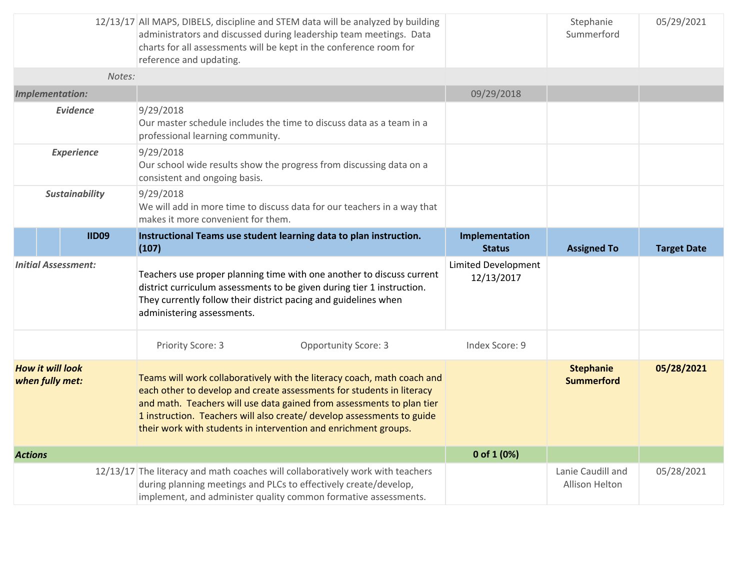|                                            |                            | 12/13/17 All MAPS, DIBELS, discipline and STEM data will be analyzed by building<br>administrators and discussed during leadership team meetings. Data<br>charts for all assessments will be kept in the conference room for<br>reference and updating.                                                                                                                |                                          | Stephanie<br>Summerford               | 05/29/2021         |
|--------------------------------------------|----------------------------|------------------------------------------------------------------------------------------------------------------------------------------------------------------------------------------------------------------------------------------------------------------------------------------------------------------------------------------------------------------------|------------------------------------------|---------------------------------------|--------------------|
|                                            | Notes:                     |                                                                                                                                                                                                                                                                                                                                                                        |                                          |                                       |                    |
|                                            | <b>Implementation:</b>     |                                                                                                                                                                                                                                                                                                                                                                        | 09/29/2018                               |                                       |                    |
|                                            | <b>Evidence</b>            | 9/29/2018<br>Our master schedule includes the time to discuss data as a team in a<br>professional learning community.                                                                                                                                                                                                                                                  |                                          |                                       |                    |
|                                            | <b>Experience</b>          | 9/29/2018<br>Our school wide results show the progress from discussing data on a<br>consistent and ongoing basis.                                                                                                                                                                                                                                                      |                                          |                                       |                    |
|                                            | <b>Sustainability</b>      | 9/29/2018<br>We will add in more time to discuss data for our teachers in a way that<br>makes it more convenient for them.                                                                                                                                                                                                                                             |                                          |                                       |                    |
|                                            | <b>IID09</b>               | Instructional Teams use student learning data to plan instruction.<br>(107)                                                                                                                                                                                                                                                                                            | Implementation<br><b>Status</b>          | <b>Assigned To</b>                    | <b>Target Date</b> |
|                                            | <b>Initial Assessment:</b> | Teachers use proper planning time with one another to discuss current<br>district curriculum assessments to be given during tier 1 instruction.<br>They currently follow their district pacing and guidelines when<br>administering assessments.                                                                                                                       | <b>Limited Development</b><br>12/13/2017 |                                       |                    |
|                                            |                            | Priority Score: 3<br><b>Opportunity Score: 3</b>                                                                                                                                                                                                                                                                                                                       | Index Score: 9                           |                                       |                    |
| <b>How it will look</b><br>when fully met: |                            | Teams will work collaboratively with the literacy coach, math coach and<br>each other to develop and create assessments for students in literacy<br>and math. Teachers will use data gained from assessments to plan tier<br>1 instruction. Teachers will also create/ develop assessments to guide<br>their work with students in intervention and enrichment groups. |                                          | <b>Stephanie</b><br><b>Summerford</b> | 05/28/2021         |
| <b>Actions</b>                             |                            |                                                                                                                                                                                                                                                                                                                                                                        | 0 of 1 (0%)                              |                                       |                    |
|                                            |                            | 12/13/17 The literacy and math coaches will collaboratively work with teachers<br>during planning meetings and PLCs to effectively create/develop,<br>implement, and administer quality common formative assessments.                                                                                                                                                  |                                          | Lanie Caudill and<br>Allison Helton   | 05/28/2021         |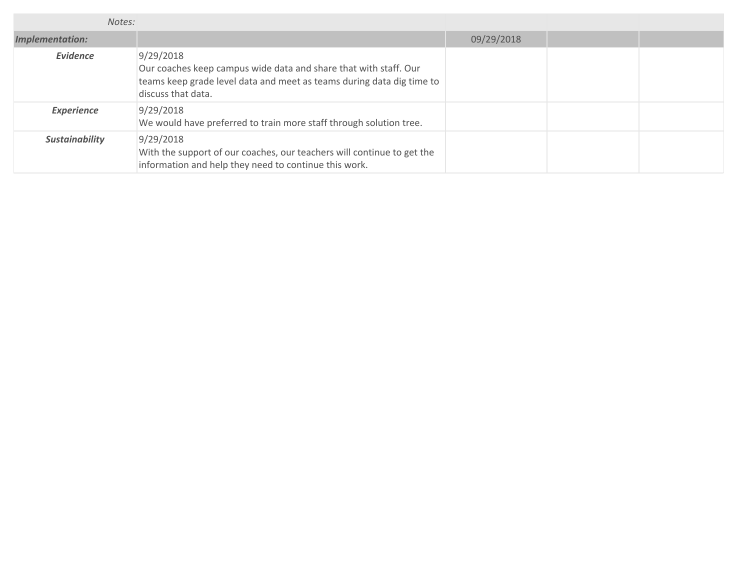| Notes:                 |                                                                                                                                                                              |            |  |
|------------------------|------------------------------------------------------------------------------------------------------------------------------------------------------------------------------|------------|--|
| <b>Implementation:</b> |                                                                                                                                                                              | 09/29/2018 |  |
| <b>Evidence</b>        | 9/29/2018<br>Our coaches keep campus wide data and share that with staff. Our<br>teams keep grade level data and meet as teams during data dig time to<br>discuss that data. |            |  |
| <b>Experience</b>      | 9/29/2018<br>We would have preferred to train more staff through solution tree.                                                                                              |            |  |
| <b>Sustainability</b>  | 9/29/2018<br>With the support of our coaches, our teachers will continue to get the<br>information and help they need to continue this work.                                 |            |  |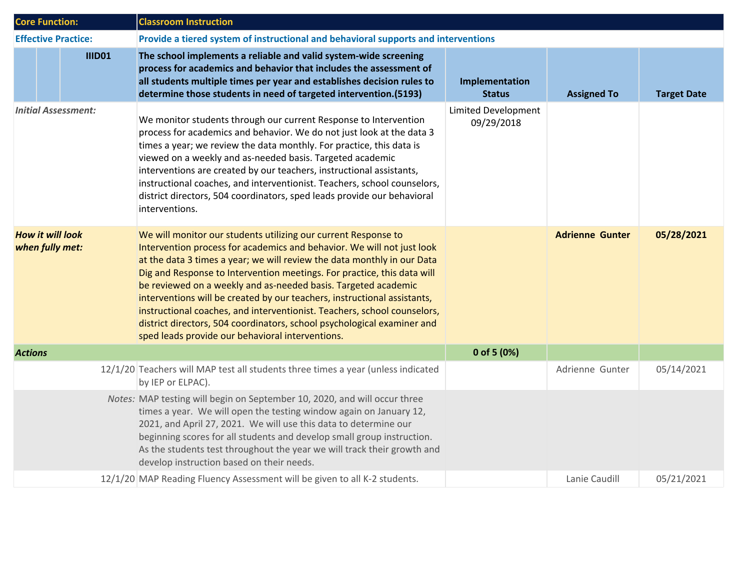| <b>Core Function:</b>                      |               | <b>Classroom Instruction</b>                                                                                                                                                                                                                                                                                                                                                                                                                                                                                                                                                                                                                            |                                          |                        |                    |  |  |
|--------------------------------------------|---------------|---------------------------------------------------------------------------------------------------------------------------------------------------------------------------------------------------------------------------------------------------------------------------------------------------------------------------------------------------------------------------------------------------------------------------------------------------------------------------------------------------------------------------------------------------------------------------------------------------------------------------------------------------------|------------------------------------------|------------------------|--------------------|--|--|
| <b>Effective Practice:</b>                 |               | Provide a tiered system of instructional and behavioral supports and interventions                                                                                                                                                                                                                                                                                                                                                                                                                                                                                                                                                                      |                                          |                        |                    |  |  |
|                                            | <b>IIID01</b> | The school implements a reliable and valid system-wide screening<br>process for academics and behavior that includes the assessment of<br>all students multiple times per year and establishes decision rules to<br>determine those students in need of targeted intervention.(5193)                                                                                                                                                                                                                                                                                                                                                                    | Implementation<br><b>Status</b>          | <b>Assigned To</b>     | <b>Target Date</b> |  |  |
| <b>Initial Assessment:</b>                 |               | We monitor students through our current Response to Intervention<br>process for academics and behavior. We do not just look at the data 3<br>times a year; we review the data monthly. For practice, this data is<br>viewed on a weekly and as-needed basis. Targeted academic<br>interventions are created by our teachers, instructional assistants,<br>instructional coaches, and interventionist. Teachers, school counselors,<br>district directors, 504 coordinators, sped leads provide our behavioral<br>interventions.                                                                                                                         | <b>Limited Development</b><br>09/29/2018 |                        |                    |  |  |
| <b>How it will look</b><br>when fully met: |               | We will monitor our students utilizing our current Response to<br>Intervention process for academics and behavior. We will not just look<br>at the data 3 times a year; we will review the data monthly in our Data<br>Dig and Response to Intervention meetings. For practice, this data will<br>be reviewed on a weekly and as-needed basis. Targeted academic<br>interventions will be created by our teachers, instructional assistants,<br>instructional coaches, and interventionist. Teachers, school counselors,<br>district directors, 504 coordinators, school psychological examiner and<br>sped leads provide our behavioral interventions. |                                          | <b>Adrienne Gunter</b> | 05/28/2021         |  |  |
| <b>Actions</b>                             |               |                                                                                                                                                                                                                                                                                                                                                                                                                                                                                                                                                                                                                                                         | 0 of 5 (0%)                              |                        |                    |  |  |
|                                            |               | 12/1/20 Teachers will MAP test all students three times a year (unless indicated<br>by IEP or ELPAC).                                                                                                                                                                                                                                                                                                                                                                                                                                                                                                                                                   |                                          | Adrienne Gunter        | 05/14/2021         |  |  |
|                                            |               | Notes: MAP testing will begin on September 10, 2020, and will occur three<br>times a year. We will open the testing window again on January 12,<br>2021, and April 27, 2021. We will use this data to determine our<br>beginning scores for all students and develop small group instruction.<br>As the students test throughout the year we will track their growth and<br>develop instruction based on their needs.                                                                                                                                                                                                                                   |                                          |                        |                    |  |  |
|                                            |               | 12/1/20 MAP Reading Fluency Assessment will be given to all K-2 students.                                                                                                                                                                                                                                                                                                                                                                                                                                                                                                                                                                               |                                          | Lanie Caudill          | 05/21/2021         |  |  |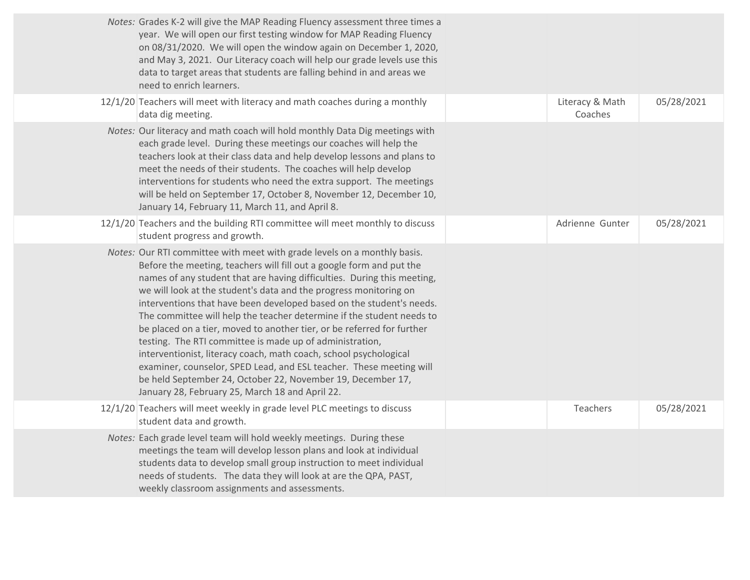| Notes: Grades K-2 will give the MAP Reading Fluency assessment three times a<br>year. We will open our first testing window for MAP Reading Fluency<br>on 08/31/2020. We will open the window again on December 1, 2020,<br>and May 3, 2021. Our Literacy coach will help our grade levels use this<br>data to target areas that students are falling behind in and areas we<br>need to enrich learners.                                                                                                                                                                                                                                                                                                                                                                                                                                              |                            |            |
|-------------------------------------------------------------------------------------------------------------------------------------------------------------------------------------------------------------------------------------------------------------------------------------------------------------------------------------------------------------------------------------------------------------------------------------------------------------------------------------------------------------------------------------------------------------------------------------------------------------------------------------------------------------------------------------------------------------------------------------------------------------------------------------------------------------------------------------------------------|----------------------------|------------|
| 12/1/20 Teachers will meet with literacy and math coaches during a monthly<br>data dig meeting.                                                                                                                                                                                                                                                                                                                                                                                                                                                                                                                                                                                                                                                                                                                                                       | Literacy & Math<br>Coaches | 05/28/2021 |
| Notes: Our literacy and math coach will hold monthly Data Dig meetings with<br>each grade level. During these meetings our coaches will help the<br>teachers look at their class data and help develop lessons and plans to<br>meet the needs of their students. The coaches will help develop<br>interventions for students who need the extra support. The meetings<br>will be held on September 17, October 8, November 12, December 10,<br>January 14, February 11, March 11, and April 8.                                                                                                                                                                                                                                                                                                                                                        |                            |            |
| 12/1/20 Teachers and the building RTI committee will meet monthly to discuss<br>student progress and growth.                                                                                                                                                                                                                                                                                                                                                                                                                                                                                                                                                                                                                                                                                                                                          | Adrienne Gunter            | 05/28/2021 |
| Notes: Our RTI committee with meet with grade levels on a monthly basis.<br>Before the meeting, teachers will fill out a google form and put the<br>names of any student that are having difficulties. During this meeting,<br>we will look at the student's data and the progress monitoring on<br>interventions that have been developed based on the student's needs.<br>The committee will help the teacher determine if the student needs to<br>be placed on a tier, moved to another tier, or be referred for further<br>testing. The RTI committee is made up of administration,<br>interventionist, literacy coach, math coach, school psychological<br>examiner, counselor, SPED Lead, and ESL teacher. These meeting will<br>be held September 24, October 22, November 19, December 17,<br>January 28, February 25, March 18 and April 22. |                            |            |
| 12/1/20 Teachers will meet weekly in grade level PLC meetings to discuss<br>student data and growth.                                                                                                                                                                                                                                                                                                                                                                                                                                                                                                                                                                                                                                                                                                                                                  | Teachers                   | 05/28/2021 |
| Notes: Each grade level team will hold weekly meetings. During these<br>meetings the team will develop lesson plans and look at individual<br>students data to develop small group instruction to meet individual<br>needs of students. The data they will look at are the QPA, PAST,<br>weekly classroom assignments and assessments.                                                                                                                                                                                                                                                                                                                                                                                                                                                                                                                |                            |            |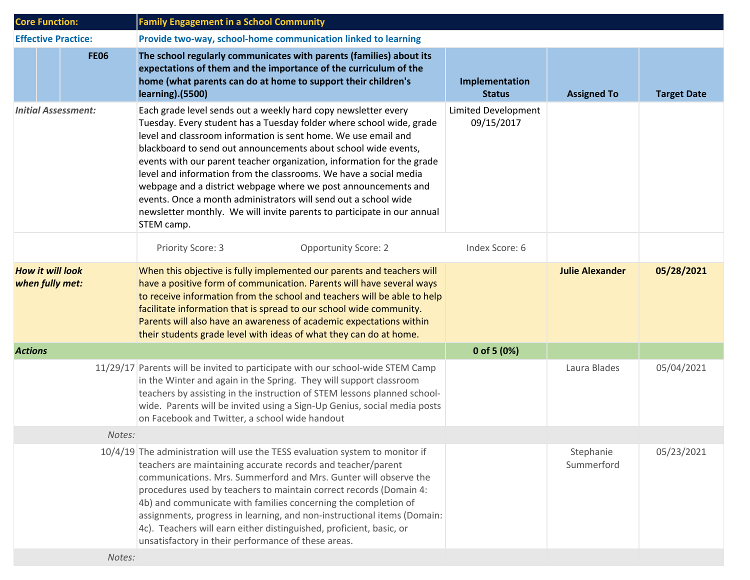| <b>Core Function:</b> |                                            | <b>Family Engagement in a School Community</b>                                                                                                                                                                                                                                                                                                                                                                                                                                                                                                                                                                                                          |                                   |                         |                    |
|-----------------------|--------------------------------------------|---------------------------------------------------------------------------------------------------------------------------------------------------------------------------------------------------------------------------------------------------------------------------------------------------------------------------------------------------------------------------------------------------------------------------------------------------------------------------------------------------------------------------------------------------------------------------------------------------------------------------------------------------------|-----------------------------------|-------------------------|--------------------|
|                       | <b>Effective Practice:</b>                 | Provide two-way, school-home communication linked to learning                                                                                                                                                                                                                                                                                                                                                                                                                                                                                                                                                                                           |                                   |                         |                    |
|                       | <b>FE06</b>                                | The school regularly communicates with parents (families) about its<br>expectations of them and the importance of the curriculum of the<br>home (what parents can do at home to support their children's<br><b>learning</b> ). (5500)                                                                                                                                                                                                                                                                                                                                                                                                                   | Implementation<br><b>Status</b>   | <b>Assigned To</b>      | <b>Target Date</b> |
|                       | <b>Initial Assessment:</b>                 | Each grade level sends out a weekly hard copy newsletter every<br>Tuesday. Every student has a Tuesday folder where school wide, grade<br>level and classroom information is sent home. We use email and<br>blackboard to send out announcements about school wide events,<br>events with our parent teacher organization, information for the grade<br>level and information from the classrooms. We have a social media<br>webpage and a district webpage where we post announcements and<br>events. Once a month administrators will send out a school wide<br>newsletter monthly. We will invite parents to participate in our annual<br>STEM camp. | Limited Development<br>09/15/2017 |                         |                    |
|                       |                                            | <b>Opportunity Score: 2</b><br>Priority Score: 3                                                                                                                                                                                                                                                                                                                                                                                                                                                                                                                                                                                                        | Index Score: 6                    |                         |                    |
|                       | <b>How it will look</b><br>when fully met: | When this objective is fully implemented our parents and teachers will<br>have a positive form of communication. Parents will have several ways<br>to receive information from the school and teachers will be able to help<br>facilitate information that is spread to our school wide community.<br>Parents will also have an awareness of academic expectations within<br>their students grade level with ideas of what they can do at home.                                                                                                                                                                                                         |                                   | <b>Julie Alexander</b>  | 05/28/2021         |
| <b>Actions</b>        |                                            |                                                                                                                                                                                                                                                                                                                                                                                                                                                                                                                                                                                                                                                         | 0 of 5 $(0%)$                     |                         |                    |
|                       |                                            | 11/29/17 Parents will be invited to participate with our school-wide STEM Camp<br>in the Winter and again in the Spring. They will support classroom<br>teachers by assisting in the instruction of STEM lessons planned school-<br>wide. Parents will be invited using a Sign-Up Genius, social media posts<br>on Facebook and Twitter, a school wide handout                                                                                                                                                                                                                                                                                          |                                   | Laura Blades            | 05/04/2021         |
|                       | Notes:                                     |                                                                                                                                                                                                                                                                                                                                                                                                                                                                                                                                                                                                                                                         |                                   |                         |                    |
|                       |                                            | 10/4/19 The administration will use the TESS evaluation system to monitor if<br>teachers are maintaining accurate records and teacher/parent<br>communications. Mrs. Summerford and Mrs. Gunter will observe the<br>procedures used by teachers to maintain correct records (Domain 4:<br>4b) and communicate with families concerning the completion of<br>assignments, progress in learning, and non-instructional items (Domain:<br>4c). Teachers will earn either distinguished, proficient, basic, or<br>unsatisfactory in their performance of these areas.                                                                                       |                                   | Stephanie<br>Summerford | 05/23/2021         |
|                       | Notes:                                     |                                                                                                                                                                                                                                                                                                                                                                                                                                                                                                                                                                                                                                                         |                                   |                         |                    |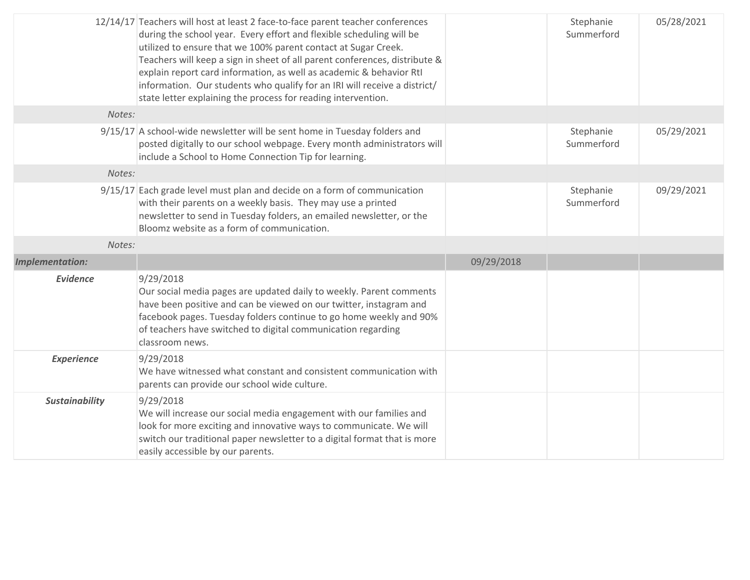|                        | 12/14/17 Teachers will host at least 2 face-to-face parent teacher conferences<br>during the school year. Every effort and flexible scheduling will be<br>utilized to ensure that we 100% parent contact at Sugar Creek.<br>Teachers will keep a sign in sheet of all parent conferences, distribute &<br>explain report card information, as well as academic & behavior RtI<br>information. Our students who qualify for an IRI will receive a district/<br>state letter explaining the process for reading intervention. |            | Stephanie<br>Summerford | 05/28/2021 |
|------------------------|-----------------------------------------------------------------------------------------------------------------------------------------------------------------------------------------------------------------------------------------------------------------------------------------------------------------------------------------------------------------------------------------------------------------------------------------------------------------------------------------------------------------------------|------------|-------------------------|------------|
| Notes:                 |                                                                                                                                                                                                                                                                                                                                                                                                                                                                                                                             |            |                         |            |
|                        | 9/15/17 A school-wide newsletter will be sent home in Tuesday folders and<br>posted digitally to our school webpage. Every month administrators will<br>include a School to Home Connection Tip for learning.                                                                                                                                                                                                                                                                                                               |            | Stephanie<br>Summerford | 05/29/2021 |
| Notes:                 |                                                                                                                                                                                                                                                                                                                                                                                                                                                                                                                             |            |                         |            |
|                        | 9/15/17 Each grade level must plan and decide on a form of communication<br>with their parents on a weekly basis. They may use a printed<br>newsletter to send in Tuesday folders, an emailed newsletter, or the<br>Bloomz website as a form of communication.                                                                                                                                                                                                                                                              |            | Stephanie<br>Summerford | 09/29/2021 |
| Notes:                 |                                                                                                                                                                                                                                                                                                                                                                                                                                                                                                                             |            |                         |            |
| <b>Implementation:</b> |                                                                                                                                                                                                                                                                                                                                                                                                                                                                                                                             | 09/29/2018 |                         |            |
| <b>Evidence</b>        | 9/29/2018                                                                                                                                                                                                                                                                                                                                                                                                                                                                                                                   |            |                         |            |
|                        | Our social media pages are updated daily to weekly. Parent comments<br>have been positive and can be viewed on our twitter, instagram and<br>facebook pages. Tuesday folders continue to go home weekly and 90%<br>of teachers have switched to digital communication regarding<br>classroom news.                                                                                                                                                                                                                          |            |                         |            |
| <b>Experience</b>      | 9/29/2018<br>We have witnessed what constant and consistent communication with<br>parents can provide our school wide culture.                                                                                                                                                                                                                                                                                                                                                                                              |            |                         |            |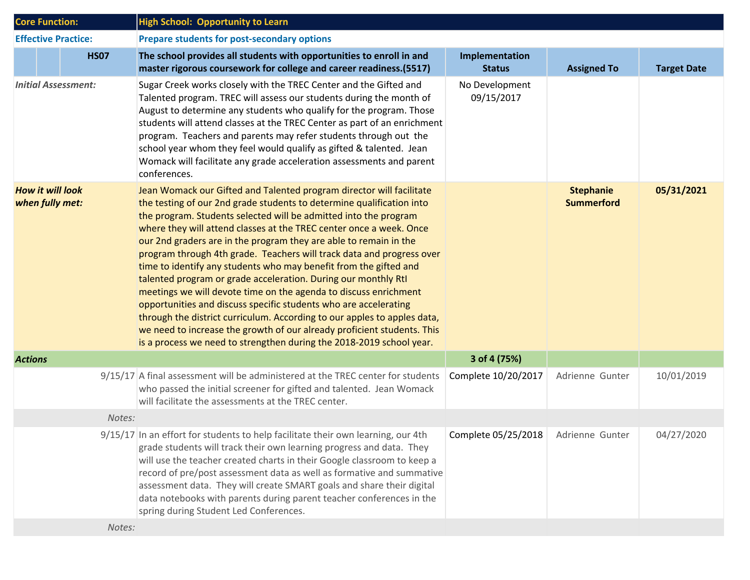| <b>Core Function:</b>                      | <b>High School: Opportunity to Learn</b>                                                                                                                                                                                                                                                                                                                                                                                                                                                                                                                                                                                                                                                                                                                                                                                                                                                                                                             |                                     |                                       |                    |
|--------------------------------------------|------------------------------------------------------------------------------------------------------------------------------------------------------------------------------------------------------------------------------------------------------------------------------------------------------------------------------------------------------------------------------------------------------------------------------------------------------------------------------------------------------------------------------------------------------------------------------------------------------------------------------------------------------------------------------------------------------------------------------------------------------------------------------------------------------------------------------------------------------------------------------------------------------------------------------------------------------|-------------------------------------|---------------------------------------|--------------------|
| <b>Effective Practice:</b>                 | Prepare students for post-secondary options                                                                                                                                                                                                                                                                                                                                                                                                                                                                                                                                                                                                                                                                                                                                                                                                                                                                                                          |                                     |                                       |                    |
| <b>HS07</b>                                | The school provides all students with opportunities to enroll in and<br>master rigorous coursework for college and career readiness.(5517)                                                                                                                                                                                                                                                                                                                                                                                                                                                                                                                                                                                                                                                                                                                                                                                                           | Implementation<br><b>Status</b>     | <b>Assigned To</b>                    | <b>Target Date</b> |
| <b>Initial Assessment:</b>                 | Sugar Creek works closely with the TREC Center and the Gifted and<br>Talented program. TREC will assess our students during the month of<br>August to determine any students who qualify for the program. Those<br>students will attend classes at the TREC Center as part of an enrichment<br>program. Teachers and parents may refer students through out the<br>school year whom they feel would qualify as gifted & talented. Jean<br>Womack will facilitate any grade acceleration assessments and parent<br>conferences.                                                                                                                                                                                                                                                                                                                                                                                                                       | No Development<br>09/15/2017        |                                       |                    |
| <b>How it will look</b><br>when fully met: | Jean Womack our Gifted and Talented program director will facilitate<br>the testing of our 2nd grade students to determine qualification into<br>the program. Students selected will be admitted into the program<br>where they will attend classes at the TREC center once a week. Once<br>our 2nd graders are in the program they are able to remain in the<br>program through 4th grade. Teachers will track data and progress over<br>time to identify any students who may benefit from the gifted and<br>talented program or grade acceleration. During our monthly RtI<br>meetings we will devote time on the agenda to discuss enrichment<br>opportunities and discuss specific students who are accelerating<br>through the district curriculum. According to our apples to apples data,<br>we need to increase the growth of our already proficient students. This<br>is a process we need to strengthen during the 2018-2019 school year. |                                     | <b>Stephanie</b><br><b>Summerford</b> | 05/31/2021         |
| <b>Actions</b>                             |                                                                                                                                                                                                                                                                                                                                                                                                                                                                                                                                                                                                                                                                                                                                                                                                                                                                                                                                                      | 3 of 4 (75%)                        |                                       |                    |
|                                            | 9/15/17 A final assessment will be administered at the TREC center for students<br>who passed the initial screener for gifted and talented. Jean Womack<br>will facilitate the assessments at the TREC center.                                                                                                                                                                                                                                                                                                                                                                                                                                                                                                                                                                                                                                                                                                                                       | Complete 10/20/2017                 | Adrienne Gunter                       | 10/01/2019         |
| Notes:                                     |                                                                                                                                                                                                                                                                                                                                                                                                                                                                                                                                                                                                                                                                                                                                                                                                                                                                                                                                                      |                                     |                                       |                    |
|                                            | 9/15/17 In an effort for students to help facilitate their own learning, our 4th<br>grade students will track their own learning progress and data. They<br>will use the teacher created charts in their Google classroom to keep a<br>record of pre/post assessment data as well as formative and summative<br>assessment data. They will create SMART goals and share their digital<br>data notebooks with parents during parent teacher conferences in the<br>spring during Student Led Conferences.                                                                                                                                                                                                                                                                                                                                                                                                                                              | Complete 05/25/2018 Adrienne Gunter |                                       | 04/27/2020         |
| Notes:                                     |                                                                                                                                                                                                                                                                                                                                                                                                                                                                                                                                                                                                                                                                                                                                                                                                                                                                                                                                                      |                                     |                                       |                    |